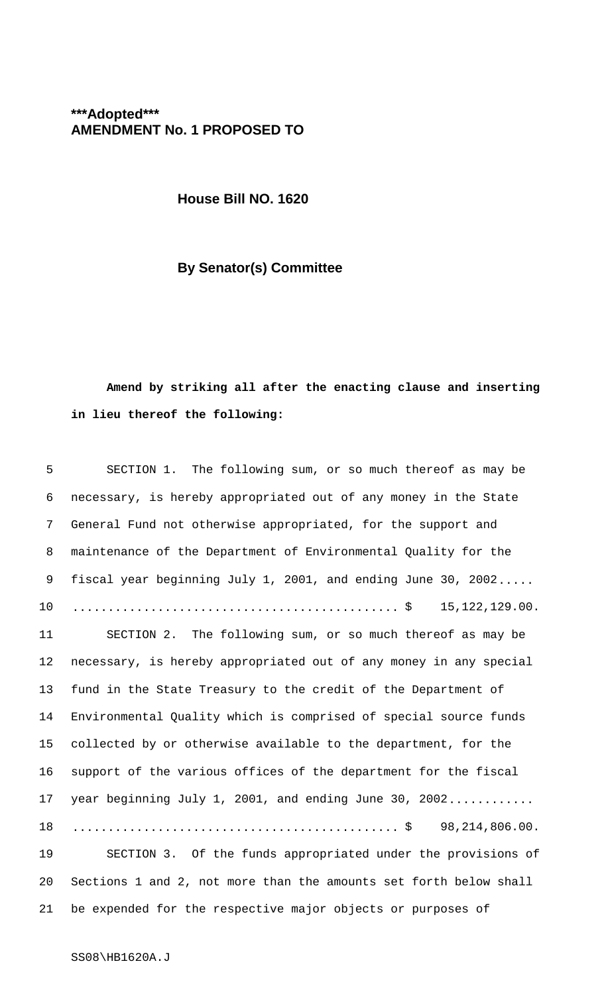## **\*\*\*Adopted\*\*\* AMENDMENT No. 1 PROPOSED TO**

**House Bill NO. 1620**

## **By Senator(s) Committee**

## **Amend by striking all after the enacting clause and inserting in lieu thereof the following:**

| 5       | SECTION 1. The following sum, or so much thereof as may be        |  |
|---------|-------------------------------------------------------------------|--|
| 6       | necessary, is hereby appropriated out of any money in the State   |  |
| 7       | General Fund not otherwise appropriated, for the support and      |  |
| 8       | maintenance of the Department of Environmental Quality for the    |  |
| 9       | fiscal year beginning July 1, 2001, and ending June 30, 2002      |  |
| $10 \,$ | 15, 122, 129.00.                                                  |  |
| 11      | SECTION 2. The following sum, or so much thereof as may be        |  |
| 12      | necessary, is hereby appropriated out of any money in any special |  |
| 13      | fund in the State Treasury to the credit of the Department of     |  |
| 14      | Environmental Quality which is comprised of special source funds  |  |
| 15      | collected by or otherwise available to the department, for the    |  |
| 16      | support of the various offices of the department for the fiscal   |  |
| 17      | year beginning July 1, 2001, and ending June 30, 2002             |  |
| 18      |                                                                   |  |
| 19      | SECTION 3. Of the funds appropriated under the provisions of      |  |
| 20      | Sections 1 and 2, not more than the amounts set forth below shall |  |
| 21      | be expended for the respective major objects or purposes of       |  |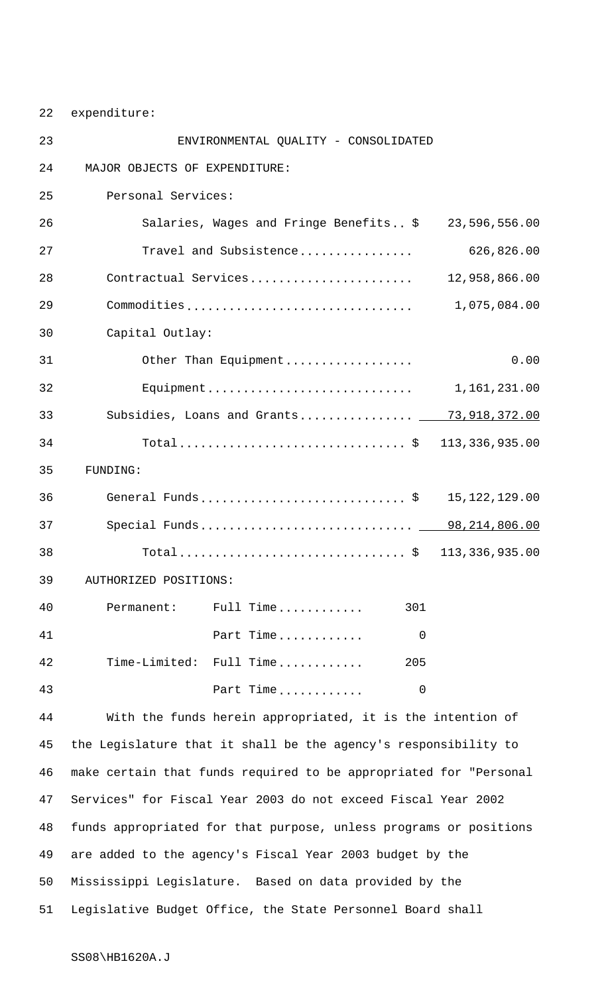22 expenditure:

| 23 | ENVIRONMENTAL QUALITY - CONSOLIDATED                              |                                                                 |                  |
|----|-------------------------------------------------------------------|-----------------------------------------------------------------|------------------|
| 24 | MAJOR OBJECTS OF EXPENDITURE:                                     |                                                                 |                  |
| 25 | Personal Services:                                                |                                                                 |                  |
| 26 |                                                                   | Salaries, Wages and Fringe Benefits \$                          | 23,596,556.00    |
| 27 |                                                                   | Travel and Subsistence                                          | 626,826.00       |
| 28 |                                                                   | Contractual Services                                            | 12,958,866.00    |
| 29 |                                                                   | Commodities                                                     | 1,075,084.00     |
| 30 | Capital Outlay:                                                   |                                                                 |                  |
| 31 |                                                                   | Other Than Equipment                                            | 0.00             |
| 32 |                                                                   |                                                                 | 1,161,231.00     |
| 33 |                                                                   | Subsidies, Loans and Grants _ 73,918,372.00                     |                  |
| 34 |                                                                   |                                                                 | 113, 336, 935.00 |
| 35 | FUNDING:                                                          |                                                                 |                  |
| 36 |                                                                   | General Funds\$                                                 | 15, 122, 129.00  |
| 37 |                                                                   | Special Funds 98,214,806.00                                     |                  |
| 38 |                                                                   |                                                                 | 113, 336, 935.00 |
| 39 | AUTHORIZED POSITIONS:                                             |                                                                 |                  |
| 40 | Permanent:                                                        | Full Time<br>301                                                |                  |
| 41 |                                                                   | Part Time<br>0                                                  |                  |
| 42 |                                                                   | Time-Limited: Full Time<br>205                                  |                  |
| 43 |                                                                   | Part Time<br>0                                                  |                  |
| 44 |                                                                   | With the funds herein appropriated, it is the intention of      |                  |
| 45 |                                                                   | the Legislature that it shall be the agency's responsibility to |                  |
| 46 | make certain that funds required to be appropriated for "Personal |                                                                 |                  |
| 47 | Services" for Fiscal Year 2003 do not exceed Fiscal Year 2002     |                                                                 |                  |
| 48 | funds appropriated for that purpose, unless programs or positions |                                                                 |                  |
| 49 | are added to the agency's Fiscal Year 2003 budget by the          |                                                                 |                  |
| 50 | Mississippi Legislature. Based on data provided by the            |                                                                 |                  |
| 51 |                                                                   | Legislative Budget Office, the State Personnel Board shall      |                  |

SS08\HB1620A.J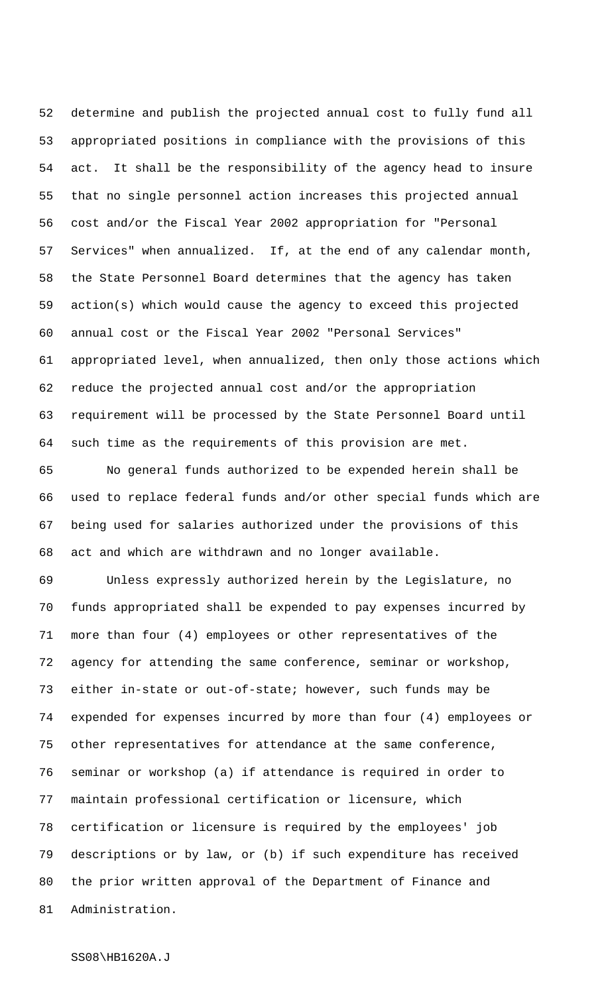determine and publish the projected annual cost to fully fund all appropriated positions in compliance with the provisions of this act. It shall be the responsibility of the agency head to insure that no single personnel action increases this projected annual cost and/or the Fiscal Year 2002 appropriation for "Personal Services" when annualized. If, at the end of any calendar month, the State Personnel Board determines that the agency has taken action(s) which would cause the agency to exceed this projected annual cost or the Fiscal Year 2002 "Personal Services" appropriated level, when annualized, then only those actions which reduce the projected annual cost and/or the appropriation requirement will be processed by the State Personnel Board until such time as the requirements of this provision are met.

 No general funds authorized to be expended herein shall be used to replace federal funds and/or other special funds which are being used for salaries authorized under the provisions of this act and which are withdrawn and no longer available.

 Unless expressly authorized herein by the Legislature, no funds appropriated shall be expended to pay expenses incurred by more than four (4) employees or other representatives of the agency for attending the same conference, seminar or workshop, either in-state or out-of-state; however, such funds may be expended for expenses incurred by more than four (4) employees or other representatives for attendance at the same conference, seminar or workshop (a) if attendance is required in order to maintain professional certification or licensure, which certification or licensure is required by the employees' job descriptions or by law, or (b) if such expenditure has received the prior written approval of the Department of Finance and Administration.

SS08\HB1620A.J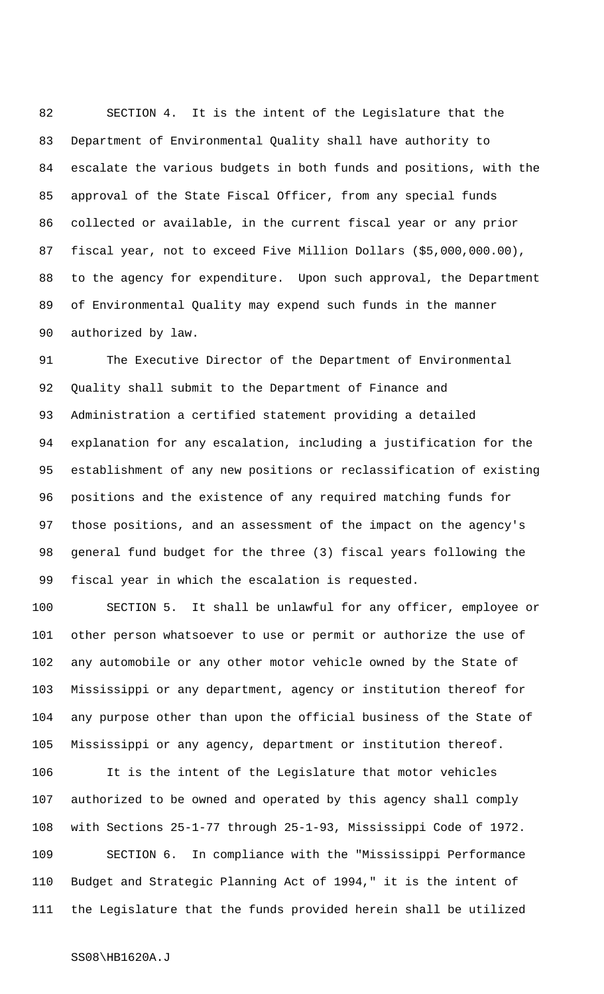SECTION 4. It is the intent of the Legislature that the Department of Environmental Quality shall have authority to escalate the various budgets in both funds and positions, with the approval of the State Fiscal Officer, from any special funds collected or available, in the current fiscal year or any prior fiscal year, not to exceed Five Million Dollars (\$5,000,000.00), to the agency for expenditure. Upon such approval, the Department of Environmental Quality may expend such funds in the manner authorized by law.

 The Executive Director of the Department of Environmental Quality shall submit to the Department of Finance and Administration a certified statement providing a detailed explanation for any escalation, including a justification for the establishment of any new positions or reclassification of existing positions and the existence of any required matching funds for those positions, and an assessment of the impact on the agency's general fund budget for the three (3) fiscal years following the fiscal year in which the escalation is requested.

 SECTION 5. It shall be unlawful for any officer, employee or other person whatsoever to use or permit or authorize the use of any automobile or any other motor vehicle owned by the State of Mississippi or any department, agency or institution thereof for any purpose other than upon the official business of the State of Mississippi or any agency, department or institution thereof.

 It is the intent of the Legislature that motor vehicles authorized to be owned and operated by this agency shall comply with Sections 25-1-77 through 25-1-93, Mississippi Code of 1972. SECTION 6. In compliance with the "Mississippi Performance Budget and Strategic Planning Act of 1994," it is the intent of the Legislature that the funds provided herein shall be utilized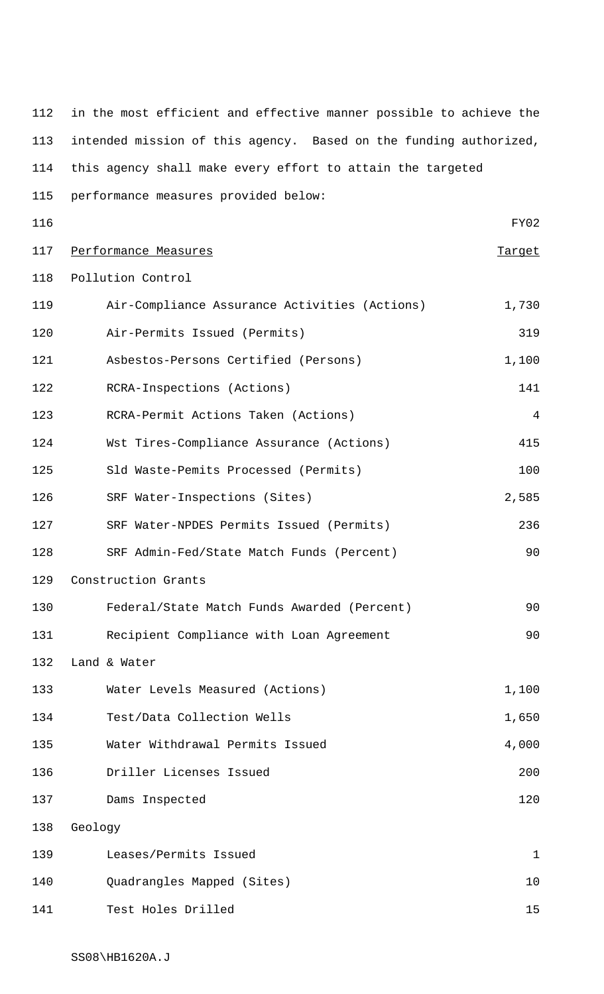in the most efficient and effective manner possible to achieve the intended mission of this agency. Based on the funding authorized, this agency shall make every effort to attain the targeted performance measures provided below: FY02 117 Performance Measures Target Pollution Control Air-Compliance Assurance Activities (Actions) 1,730 Air-Permits Issued (Permits) 319 121 Asbestos-Persons Certified (Persons) 1,100 RCRA-Inspections (Actions) 141 RCRA-Permit Actions Taken (Actions) 4 Wst Tires-Compliance Assurance (Actions) 415 Sld Waste-Pemits Processed (Permits) 100 126 SRF Water-Inspections (Sites) 2,585 SRF Water-NPDES Permits Issued (Permits) 236 SRF Admin-Fed/State Match Funds (Percent) 90 Construction Grants Federal/State Match Funds Awarded (Percent) 90 131 Recipient Compliance with Loan Agreement 90 Land & Water Water Levels Measured (Actions) 1,100 134 Test/Data Collection Wells 1,650 135 Water Withdrawal Permits Issued 135 1990 4,000 Driller Licenses Issued 200 137 Dams Inspected 120 Geology Leases/Permits Issued 1 Quadrangles Mapped (Sites) 10 141 Test Holes Drilled 15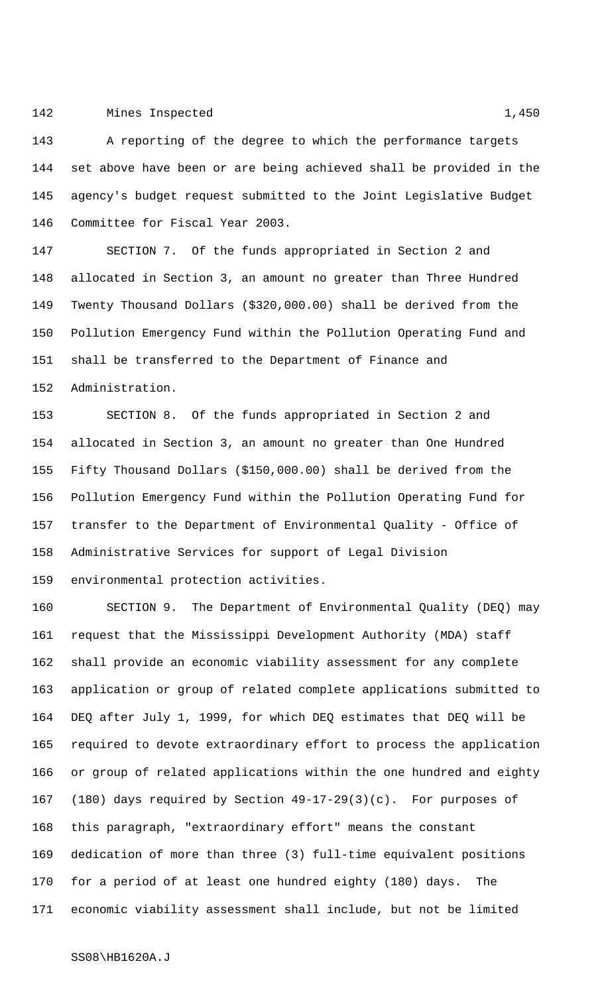## 142 Mines Inspected 1,450

 A reporting of the degree to which the performance targets set above have been or are being achieved shall be provided in the agency's budget request submitted to the Joint Legislative Budget Committee for Fiscal Year 2003.

 SECTION 7. Of the funds appropriated in Section 2 and allocated in Section 3, an amount no greater than Three Hundred Twenty Thousand Dollars (\$320,000.00) shall be derived from the Pollution Emergency Fund within the Pollution Operating Fund and shall be transferred to the Department of Finance and Administration.

 SECTION 8. Of the funds appropriated in Section 2 and allocated in Section 3, an amount no greater than One Hundred Fifty Thousand Dollars (\$150,000.00) shall be derived from the Pollution Emergency Fund within the Pollution Operating Fund for transfer to the Department of Environmental Quality - Office of Administrative Services for support of Legal Division environmental protection activities.

 SECTION 9. The Department of Environmental Quality (DEQ) may request that the Mississippi Development Authority (MDA) staff shall provide an economic viability assessment for any complete application or group of related complete applications submitted to DEQ after July 1, 1999, for which DEQ estimates that DEQ will be required to devote extraordinary effort to process the application or group of related applications within the one hundred and eighty (180) days required by Section 49-17-29(3)(c). For purposes of this paragraph, "extraordinary effort" means the constant dedication of more than three (3) full-time equivalent positions for a period of at least one hundred eighty (180) days. The economic viability assessment shall include, but not be limited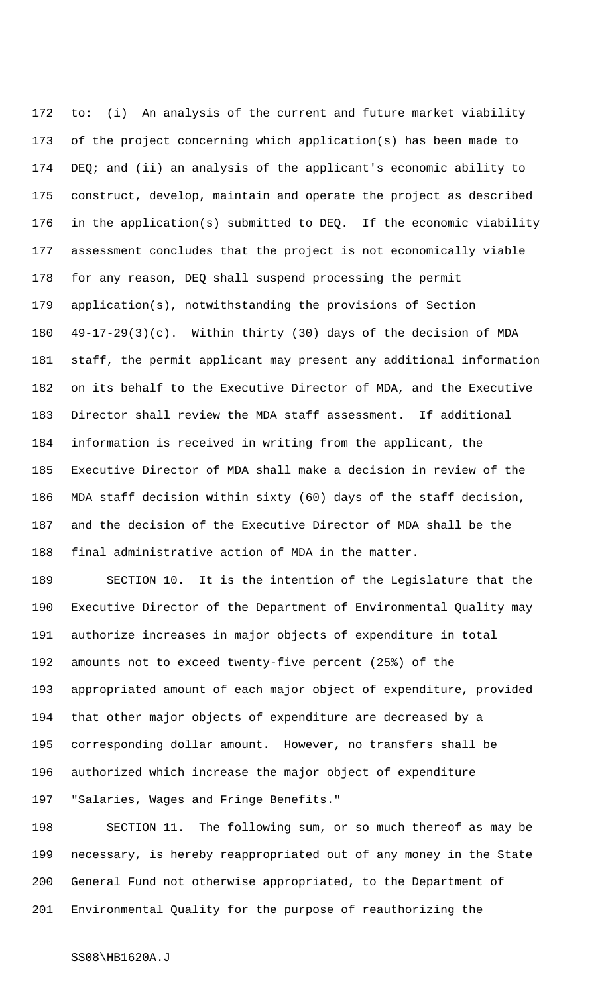to: (i) An analysis of the current and future market viability of the project concerning which application(s) has been made to DEQ; and (ii) an analysis of the applicant's economic ability to construct, develop, maintain and operate the project as described in the application(s) submitted to DEQ. If the economic viability assessment concludes that the project is not economically viable for any reason, DEQ shall suspend processing the permit application(s), notwithstanding the provisions of Section 49-17-29(3)(c). Within thirty (30) days of the decision of MDA staff, the permit applicant may present any additional information on its behalf to the Executive Director of MDA, and the Executive Director shall review the MDA staff assessment. If additional information is received in writing from the applicant, the Executive Director of MDA shall make a decision in review of the MDA staff decision within sixty (60) days of the staff decision, and the decision of the Executive Director of MDA shall be the final administrative action of MDA in the matter.

 SECTION 10. It is the intention of the Legislature that the Executive Director of the Department of Environmental Quality may authorize increases in major objects of expenditure in total amounts not to exceed twenty-five percent (25%) of the appropriated amount of each major object of expenditure, provided that other major objects of expenditure are decreased by a corresponding dollar amount. However, no transfers shall be authorized which increase the major object of expenditure "Salaries, Wages and Fringe Benefits."

 SECTION 11. The following sum, or so much thereof as may be necessary, is hereby reappropriated out of any money in the State General Fund not otherwise appropriated, to the Department of Environmental Quality for the purpose of reauthorizing the